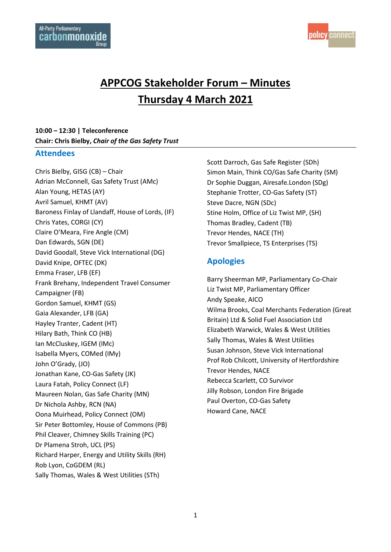

# **APPCOG Stakeholder Forum – Minutes Thursday 4 March 2021**

## **10:00 – 12:30 | Teleconference Chair: Chris Bielby,** *Chair of the Gas Safety Trust*

#### **Attendees**

Chris Bielby, GISG (CB) – Chair Adrian McConnell, Gas Safety Trust (AMc) Alan Young, HETAS (AY) Avril Samuel, KHMT (AV) Baroness Finlay of Llandaff, House of Lords, (IF) Chris Yates, CORGI (CY) Claire O'Meara, Fire Angle (CM) Dan Edwards, SGN (DE) David Goodall, Steve Vick International (DG) David Knipe, OFTEC (DK) Emma Fraser, LFB (EF) Frank Brehany, Independent Travel Consumer Campaigner (FB) Gordon Samuel, KHMT (GS) Gaia Alexander, LFB (GA) Hayley Tranter, Cadent (HT) Hilary Bath, Think CO (HB) Ian McCluskey, IGEM (IMc) Isabella Myers, COMed (IMy) John O'Grady, (JO) Jonathan Kane, CO-Gas Safety (JK) Laura Fatah, Policy Connect (LF) Maureen Nolan, Gas Safe Charity (MN) Dr Nichola Ashby, RCN (NA) Oona Muirhead, Policy Connect (OM) Sir Peter Bottomley, House of Commons (PB) Phil Cleaver, Chimney Skills Training (PC) Dr Plamena Stroh, UCL (PS) Richard Harper, Energy and Utility Skills (RH) Rob Lyon, CoGDEM (RL) Sally Thomas, Wales & West Utilities (STh)

Scott Darroch, Gas Safe Register (SDh) Simon Main, Think CO/Gas Safe Charity (SM) Dr Sophie Duggan, Airesafe.London (SDg) Stephanie Trotter, CO-Gas Safety (ST) Steve Dacre, NGN (SDc) Stine Holm, Office of Liz Twist MP, (SH) Thomas Bradley, Cadent (TB) Trevor Hendes, NACE (TH) Trevor Smallpiece, TS Enterprises (TS)

## **Apologies**

Barry Sheerman MP, Parliamentary Co-Chair Liz Twist MP, Parliamentary Officer Andy Speake, AICO Wilma Brooks, Coal Merchants Federation (Great Britain) Ltd & Solid Fuel Association Ltd Elizabeth Warwick, Wales & West Utilities Sally Thomas, Wales & West Utilities Susan Johnson, Steve Vick International Prof Rob Chilcott, University of Hertfordshire Trevor Hendes, NACE Rebecca Scarlett, CO Survivor Jilly Robson, London Fire Brigade Paul Overton, CO-Gas Safety Howard Cane, NACE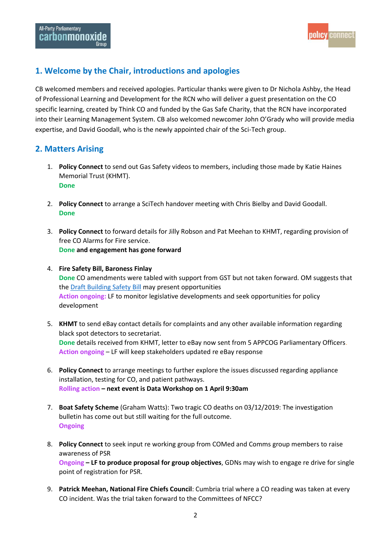

# **1. Welcome by the Chair, introductions and apologies**

CB welcomed members and received apologies. Particular thanks were given to Dr Nichola Ashby, the Head of Professional Learning and Development for the RCN who will deliver a guest presentation on the CO specific learning, created by Think CO and funded by the Gas Safe Charity, that the RCN have incorporated into their Learning Management System. CB also welcomed newcomer John O'Grady who will provide media expertise, and David Goodall, who is the newly appointed chair of the Sci-Tech group.

## **2. Matters Arising**

- 1. **Policy Connect** to send out Gas Safety videos to members, including those made by Katie Haines Memorial Trust (KHMT). **Done**
- 2. **Policy Connect** to arrange a SciTech handover meeting with Chris Bielby and David Goodall. **Done**
- 3. **Policy Connect** to forward details for Jilly Robson and Pat Meehan to KHMT, regarding provision of free CO Alarms for Fire service. **Done and engagement has gone forward**
- 4. **Fire Safety Bill, Baroness Finlay Done** CO amendments were tabled with support from GST but not taken forward. OM suggests that the [Draft Building Safety Bill](https://www.gov.uk/government/publications/draft-building-safety-bill) may present opportunities **Action ongoing:** LF to monitor legislative developments and seek opportunities for policy development
- 5. **KHMT** to send eBay contact details for complaints and any other available information regarding black spot detectors to secretariat. **Done** details received from KHMT, letter to eBay now sent from 5 APPCOG Parliamentary Officers. **Action ongoing** – LF will keep stakeholders updated re eBay response
- 6. **Policy Connect** to arrange meetings to further explore the issues discussed regarding appliance installation, testing for CO, and patient pathways. **Rolling action – next event is Data Workshop on 1 April 9:30am**
- 7. **Boat Safety Scheme** (Graham Watts): Two tragic CO deaths on 03/12/2019: The investigation bulletin has come out but still waiting for the full outcome. **Ongoing**
- 8. **Policy Connect** to seek input re working group from COMed and Comms group members to raise awareness of PSR **Ongoing – LF to produce proposal for group objectives**, GDNs may wish to engage re drive for single point of registration for PSR.
- 9. **Patrick Meehan, National Fire Chiefs Council**: Cumbria trial where a CO reading was taken at every CO incident. Was the trial taken forward to the Committees of NFCC?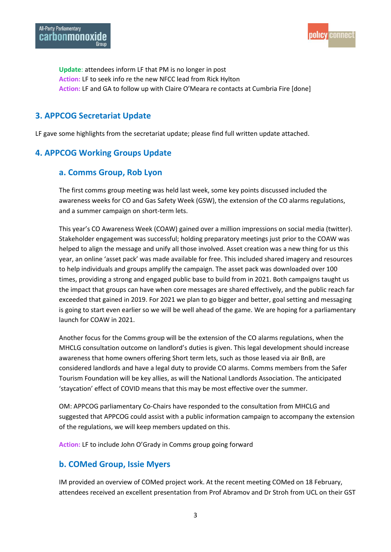

**Update**: attendees inform LF that PM is no longer in post **Action:** LF to seek info re the new NFCC lead from Rick Hylton **Action:** LF and GA to follow up with Claire O'Meara re contacts at Cumbria Fire [done]

# **3. APPCOG Secretariat Update**

LF gave some highlights from the secretariat update; please find full written update attached.

## **4. APPCOG Working Groups Update**

### **a. Comms Group, Rob Lyon**

The first comms group meeting was held last week, some key points discussed included the awareness weeks for CO and Gas Safety Week (GSW), the extension of the CO alarms regulations, and a summer campaign on short-term lets.

This year's CO Awareness Week (COAW) gained over a million impressions on social media (twitter). Stakeholder engagement was successful; holding preparatory meetings just prior to the COAW was helped to align the message and unify all those involved. Asset creation was a new thing for us this year, an online 'asset pack' was made available for free. This included shared imagery and resources to help individuals and groups amplify the campaign. The asset pack was downloaded over 100 times, providing a strong and engaged public base to build from in 2021. Both campaigns taught us the impact that groups can have when core messages are shared effectively, and the public reach far exceeded that gained in 2019. For 2021 we plan to go bigger and better, goal setting and messaging is going to start even earlier so we will be well ahead of the game. We are hoping for a parliamentary launch for COAW in 2021.

Another focus for the Comms group will be the extension of the CO alarms regulations, when the MHCLG consultation outcome on landlord's duties is given. This legal development should increase awareness that home owners offering Short term lets, such as those leased via air BnB, are considered landlords and have a legal duty to provide CO alarms. Comms members from the Safer Tourism Foundation will be key allies, as will the National Landlords Association. The anticipated 'staycation' effect of COVID means that this may be most effective over the summer.

OM: APPCOG parliamentary Co-Chairs have responded to the consultation from MHCLG and suggested that APPCOG could assist with a public information campaign to accompany the extension of the regulations, we will keep members updated on this.

**Action:** LF to include John O'Grady in Comms group going forward

## **b. COMed Group, Issie Myers**

IM provided an overview of COMed project work. At the recent meeting COMed on 18 February, attendees received an excellent presentation from Prof Abramov and Dr Stroh from UCL on their GST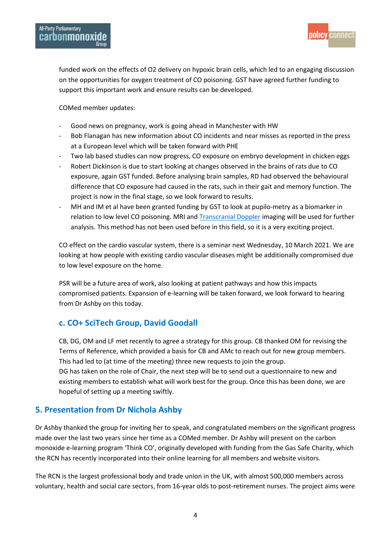

funded work on the effects of O2 delivery on hypoxic brain cells, which led to an engaging discussion on the opportunities for oxygen treatment of CO poisoning. GST have agreed further funding to support this important work and ensure results can be developed.

COMed member updates:

- Good news on pregnancy, work is going ahead in Manchester with HW
- Bob Flanagan has new information about CO incidents and near misses as reported in the press at a European level which will be taken forward with PHE
- Two lab based studies can now progress, CO exposure on embryo development in chicken eggs
- Robert Dickinson is due to start looking at changes observed in the brains of rats due to CO exposure, again GST funded. Before analysing brain samples, RD had observed the behavioural difference that CO exposure had caused in the rats, such in their gait and memory function. The project is now in the final stage, so we look forward to results.
- MH and IM et al have been granted funding by GST to look at pupilo-metry as a biomarker in relation to low level CO poisoning. MRI and **Transcranial Doppler imaging will be used for further** analysis. This method has not been used before in this field, so it is a very exciting project.

CO effect on the cardio vascular system, there is a seminar next Wednesday, 10 March 2021. We are looking at how people with existing cardio vascular diseases might be additionally compromised due to low level exposure on the home.

PSR will be a future area of work, also looking at patient pathways and how this impacts compromised patients. Expansion of e-learning will be taken forward, we look forward to hearing from Dr Ashby on this today.

## **c. CO+ SciTech Group, David Goodall**

CB, DG, OM and LF met recently to agree a strategy for this group. CB thanked OM for revising the Terms of Reference, which provided a basis for CB and AMc to reach out for new group members. This had led to (at time of the meeting) three new requests to join the group. DG has taken on the role of Chair, the next step will be to send out a questionnaire to new and existing members to establish what will work best for the group. Once this has been done, we are hopeful of setting up a meeting swiftly.

## **5. Presentation from Dr Nichola Ashby**

Dr Ashby thanked the group for inviting her to speak, and congratulated members on the significant progress made over the last two years since her time as a COMed member. Dr Ashby will present on the carbon monoxide e-learning program 'Think CO', originally developed with funding from the Gas Safe Charity, which the RCN has recently incorporated into their online learning for all members and website visitors.

The RCN is the largest professional body and trade union in the UK, with almost 500,000 members across voluntary, health and social care sectors, from 16-year olds to post-retirement nurses. The project aims were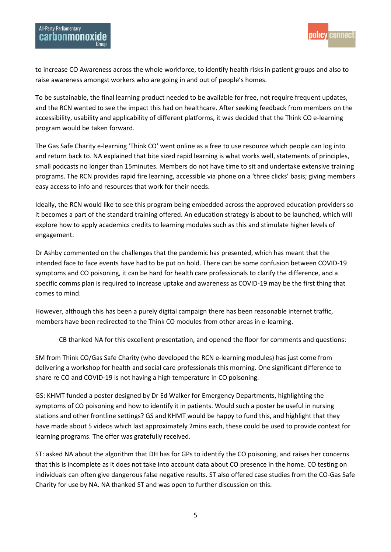

to increase CO Awareness across the whole workforce, to identify health risks in patient groups and also to raise awareness amongst workers who are going in and out of people's homes.

To be sustainable, the final learning product needed to be available for free, not require frequent updates, and the RCN wanted to see the impact this had on healthcare. After seeking feedback from members on the accessibility, usability and applicability of different platforms, it was decided that the Think CO e-learning program would be taken forward.

The Gas Safe Charity e-learning 'Think CO' went online as a free to use resource which people can log into and return back to. NA explained that bite sized rapid learning is what works well, statements of principles, small podcasts no longer than 15minutes. Members do not have time to sit and undertake extensive training programs. The RCN provides rapid fire learning, accessible via phone on a 'three clicks' basis; giving members easy access to info and resources that work for their needs.

Ideally, the RCN would like to see this program being embedded across the approved education providers so it becomes a part of the standard training offered. An education strategy is about to be launched, which will explore how to apply academics credits to learning modules such as this and stimulate higher levels of engagement.

Dr Ashby commented on the challenges that the pandemic has presented, which has meant that the intended face to face events have had to be put on hold. There can be some confusion between COVID-19 symptoms and CO poisoning, it can be hard for health care professionals to clarify the difference, and a specific comms plan is required to increase uptake and awareness as COVID-19 may be the first thing that comes to mind.

However, although this has been a purely digital campaign there has been reasonable internet traffic, members have been redirected to the Think CO modules from other areas in e-learning.

CB thanked NA for this excellent presentation, and opened the floor for comments and questions:

SM from Think CO/Gas Safe Charity (who developed the RCN e-learning modules) has just come from delivering a workshop for health and social care professionals this morning. One significant difference to share re CO and COVID-19 is not having a high temperature in CO poisoning.

GS: KHMT funded a poster designed by Dr Ed Walker for Emergency Departments, highlighting the symptoms of CO poisoning and how to identify it in patients. Would such a poster be useful in nursing stations and other frontline settings? GS and KHMT would be happy to fund this, and highlight that they have made about 5 videos which last approximately 2mins each, these could be used to provide context for learning programs. The offer was gratefully received.

ST: asked NA about the algorithm that DH has for GPs to identify the CO poisoning, and raises her concerns that this is incomplete as it does not take into account data about CO presence in the home. CO testing on individuals can often give dangerous false negative results. ST also offered case studies from the CO-Gas Safe Charity for use by NA. NA thanked ST and was open to further discussion on this.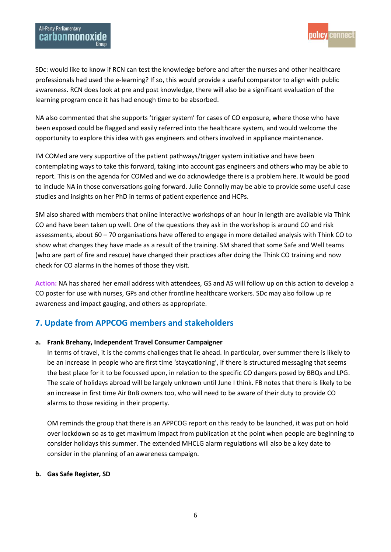

SDc: would like to know if RCN can test the knowledge before and after the nurses and other healthcare professionals had used the e-learning? If so, this would provide a useful comparator to align with public awareness. RCN does look at pre and post knowledge, there will also be a significant evaluation of the learning program once it has had enough time to be absorbed.

NA also commented that she supports 'trigger system' for cases of CO exposure, where those who have been exposed could be flagged and easily referred into the healthcare system, and would welcome the opportunity to explore this idea with gas engineers and others involved in appliance maintenance.

IM COMed are very supportive of the patient pathways/trigger system initiative and have been contemplating ways to take this forward, taking into account gas engineers and others who may be able to report. This is on the agenda for COMed and we do acknowledge there is a problem here. It would be good to include NA in those conversations going forward. Julie Connolly may be able to provide some useful case studies and insights on her PhD in terms of patient experience and HCPs.

SM also shared with members that online interactive workshops of an hour in length are available via Think CO and have been taken up well. One of the questions they ask in the workshop is around CO and risk assessments, about 60 – 70 organisations have offered to engage in more detailed analysis with Think CO to show what changes they have made as a result of the training. SM shared that some Safe and Well teams (who are part of fire and rescue) have changed their practices after doing the Think CO training and now check for CO alarms in the homes of those they visit.

**Action:** NA has shared her email address with attendees, GS and AS will follow up on this action to develop a CO poster for use with nurses, GPs and other frontline healthcare workers. SDc may also follow up re awareness and impact gauging, and others as appropriate.

## **7. Update from APPCOG members and stakeholders**

#### **a. Frank Brehany, Independent Travel Consumer Campaigner**

In terms of travel, it is the comms challenges that lie ahead. In particular, over summer there is likely to be an increase in people who are first time 'staycationing', if there is structured messaging that seems the best place for it to be focussed upon, in relation to the specific CO dangers posed by BBQs and LPG. The scale of holidays abroad will be largely unknown until June I think. FB notes that there is likely to be an increase in first time Air BnB owners too, who will need to be aware of their duty to provide CO alarms to those residing in their property.

OM reminds the group that there is an APPCOG report on this ready to be launched, it was put on hold over lockdown so as to get maximum impact from publication at the point when people are beginning to consider holidays this summer. The extended MHCLG alarm regulations will also be a key date to consider in the planning of an awareness campaign.

#### **b. Gas Safe Register, SD**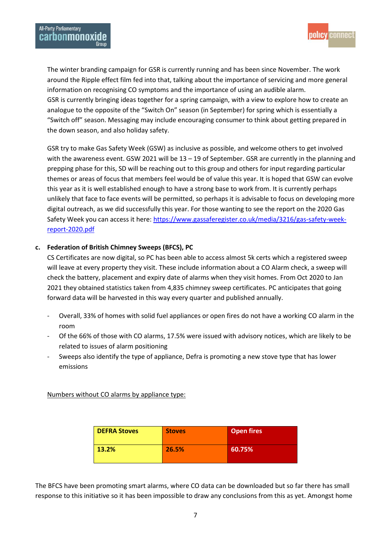The winter branding campaign for GSR is currently running and has been since November. The work around the Ripple effect film fed into that, talking about the importance of servicing and more general information on recognising CO symptoms and the importance of using an audible alarm. GSR is currently bringing ideas together for a spring campaign, with a view to explore how to create an analogue to the opposite of the "Switch On" season (in September) for spring which is essentially a "Switch off" season. Messaging may include encouraging consumer to think about getting prepared in the down season, and also holiday safety.

policy connec

GSR try to make Gas Safety Week (GSW) as inclusive as possible, and welcome others to get involved with the awareness event. GSW 2021 will be 13 – 19 of September. GSR are currently in the planning and prepping phase for this, SD will be reaching out to this group and others for input regarding particular themes or areas of focus that members feel would be of value this year. It is hoped that GSW can evolve this year as it is well established enough to have a strong base to work from. It is currently perhaps unlikely that face to face events will be permitted, so perhaps it is advisable to focus on developing more digital outreach, as we did successfully this year. For those wanting to see the report on the 2020 Gas Safety Week you can access it here[: https://www.gassaferegister.co.uk/media/3216/gas-safety-week](https://www.gassaferegister.co.uk/media/3216/gas-safety-week-report-2020.pdf)[report-2020.pdf](https://www.gassaferegister.co.uk/media/3216/gas-safety-week-report-2020.pdf)

#### **c. Federation of British Chimney Sweeps (BFCS), PC**

CS Certificates are now digital, so PC has been able to access almost 5k certs which a registered sweep will leave at every property they visit. These include information about a CO Alarm check, a sweep will check the battery, placement and expiry date of alarms when they visit homes. From Oct 2020 to Jan 2021 they obtained statistics taken from 4,835 chimney sweep certificates. PC anticipates that going forward data will be harvested in this way every quarter and published annually.

- Overall, 33% of homes with solid fuel appliances or open fires do not have a working CO alarm in the room
- Of the 66% of those with CO alarms, 17.5% were issued with advisory notices, which are likely to be related to issues of alarm positioning
- Sweeps also identify the type of appliance, Defra is promoting a new stove type that has lower emissions

#### Numbers without CO alarms by appliance type:

| <b>DEFRA Stoves</b> | <b>Stoves</b> | <b>Open fires</b> |
|---------------------|---------------|-------------------|
| 13.2%               | 26.5%         | 60.75%            |

The BFCS have been promoting smart alarms, where CO data can be downloaded but so far there has small response to this initiative so it has been impossible to draw any conclusions from this as yet. Amongst home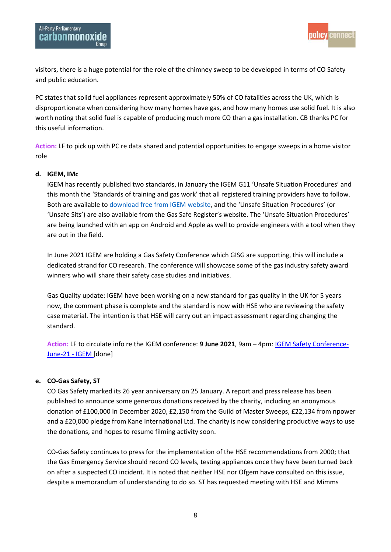

visitors, there is a huge potential for the role of the chimney sweep to be developed in terms of CO Safety and public education.

PC states that solid fuel appliances represent approximately 50% of CO fatalities across the UK, which is disproportionate when considering how many homes have gas, and how many homes use solid fuel. It is also worth noting that solid fuel is capable of producing much more CO than a gas installation. CB thanks PC for this useful information.

**Action:** LF to pick up with PC re data shared and potential opportunities to engage sweeps in a home visitor role

#### **d. IGEM, IMc**

IGEM has recently published two standards, in January the IGEM G11 'Unsafe Situation Procedures' and this month the 'Standards of training and gas work' that all registered training providers have to follow. Both are available t[o download free from IGEM](https://www.igem.org.uk/technical-services/technical-gas-standards/) website, and the 'Unsafe Situation Procedures' (or 'Unsafe Sits') are also available from the Gas Safe Register's website. The 'Unsafe Situation Procedures' are being launched with an app on Android and Apple as well to provide engineers with a tool when they are out in the field.

In June 2021 IGEM are holding a Gas Safety Conference which GISG are supporting, this will include a dedicated strand for CO research. The conference will showcase some of the gas industry safety award winners who will share their safety case studies and initiatives.

Gas Quality update: IGEM have been working on a new standard for gas quality in the UK for 5 years now, the comment phase is complete and the standard is now with HSE who are reviewing the safety case material. The intention is that HSE will carry out an impact assessment regarding changing the standard.

**Action:** LF to circulate info re the IGEM conference: **9 June 2021**, 9am – 4pm[: IGEM Safety Conference-](https://www.igem.org.uk/events-and-courses/igem-safety-conference-june-21/)[June-21 -](https://www.igem.org.uk/events-and-courses/igem-safety-conference-june-21/) IGEM [done]

#### **e. CO-Gas Safety, ST**

CO Gas Safety marked its 26 year anniversary on 25 January. A report and press release has been published to announce some generous donations received by the charity, including an anonymous donation of £100,000 in December 2020, £2,150 from the Guild of Master Sweeps, £22,134 from npower and a £20,000 pledge from Kane International Ltd. The charity is now considering productive ways to use the donations, and hopes to resume filming activity soon.

CO-Gas Safety continues to press for the implementation of the HSE recommendations from 2000; that the Gas Emergency Service should record CO levels, testing appliances once they have been turned back on after a suspected CO incident. It is noted that neither HSE nor Ofgem have consulted on this issue, despite a memorandum of understanding to do so. ST has requested meeting with HSE and Mimms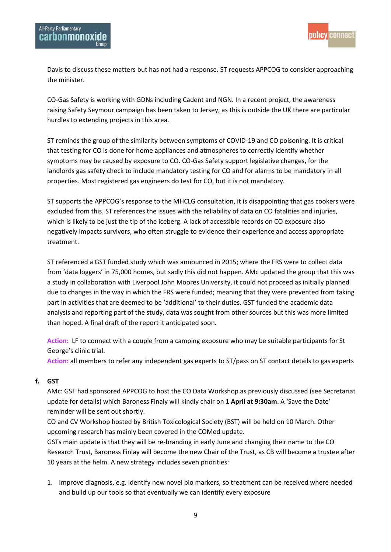

Davis to discuss these matters but has not had a response. ST requests APPCOG to consider approaching the minister.

CO-Gas Safety is working with GDNs including Cadent and NGN. In a recent project, the awareness raising Safety Seymour campaign has been taken to Jersey, as this is outside the UK there are particular hurdles to extending projects in this area.

ST reminds the group of the similarity between symptoms of COVID-19 and CO poisoning. It is critical that testing for CO is done for home appliances and atmospheres to correctly identify whether symptoms may be caused by exposure to CO. CO-Gas Safety support legislative changes, for the landlords gas safety check to include mandatory testing for CO and for alarms to be mandatory in all properties. Most registered gas engineers do test for CO, but it is not mandatory.

ST supports the APPCOG's response to the MHCLG consultation, it is disappointing that gas cookers were excluded from this. ST references the issues with the reliability of data on CO fatalities and injuries, which is likely to be just the tip of the iceberg. A lack of accessible records on CO exposure also negatively impacts survivors, who often struggle to evidence their experience and access appropriate treatment.

ST referenced a GST funded study which was announced in 2015; where the FRS were to collect data from 'data loggers' in 75,000 homes, but sadly this did not happen. AMc updated the group that this was a study in collaboration with Liverpool John Moores University, it could not proceed as initially planned due to changes in the way in which the FRS were funded; meaning that they were prevented from taking part in activities that are deemed to be 'additional' to their duties. GST funded the academic data analysis and reporting part of the study, data was sought from other sources but this was more limited than hoped. A final draft of the report it anticipated soon.

**Action:** LF to connect with a couple from a camping exposure who may be suitable participants for St George's clinic trial.

**Action:** all members to refer any independent gas experts to ST/pass on ST contact details to gas experts

#### **f. GST**

AMc: GST had sponsored APPCOG to host the CO Data Workshop as previously discussed (see Secretariat update for details) which Baroness Finaly will kindly chair on **1 April at 9:30am**. A 'Save the Date' reminder will be sent out shortly.

CO and CV Workshop hosted by British Toxicological Society (BST) will be held on 10 March. Other upcoming research has mainly been covered in the COMed update.

GSTs main update is that they will be re-branding in early June and changing their name to the CO Research Trust, Baroness Finlay will become the new Chair of the Trust, as CB will become a trustee after 10 years at the helm. A new strategy includes seven priorities:

1. Improve diagnosis, e.g. identify new novel bio markers, so treatment can be received where needed and build up our tools so that eventually we can identify every exposure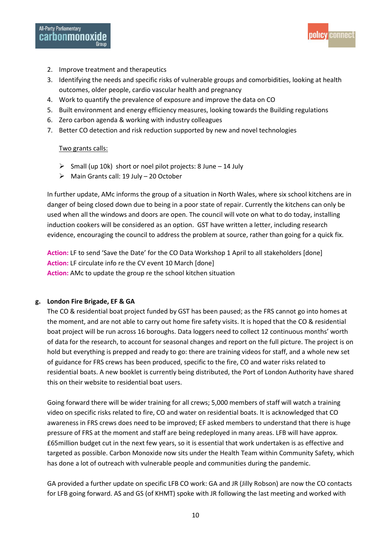

- 2. Improve treatment and therapeutics
- 3. Identifying the needs and specific risks of vulnerable groups and comorbidities, looking at health outcomes, older people, cardio vascular health and pregnancy
- 4. Work to quantify the prevalence of exposure and improve the data on CO
- 5. Built environment and energy efficiency measures, looking towards the Building regulations
- 6. Zero carbon agenda & working with industry colleagues
- 7. Better CO detection and risk reduction supported by new and novel technologies

#### Two grants calls:

- $\triangleright$  Small (up 10k) short or noel pilot projects: 8 June 14 July
- $\triangleright$  Main Grants call: 19 July 20 October

In further update, AMc informs the group of a situation in North Wales, where six school kitchens are in danger of being closed down due to being in a poor state of repair. Currently the kitchens can only be used when all the windows and doors are open. The council will vote on what to do today, installing induction cookers will be considered as an option. GST have written a letter, including research evidence, encouraging the council to address the problem at source, rather than going for a quick fix.

**Action:** LF to send 'Save the Date' for the CO Data Workshop 1 April to all stakeholders [done] **Action:** LF circulate info re the CV event 10 March [done] **Action:** AMc to update the group re the school kitchen situation

#### **g. London Fire Brigade, EF & GA**

The CO & residential boat project funded by GST has been paused; as the FRS cannot go into homes at the moment, and are not able to carry out home fire safety visits. It is hoped that the CO & residential boat project will be run across 16 boroughs. Data loggers need to collect 12 continuous months' worth of data for the research, to account for seasonal changes and report on the full picture. The project is on hold but everything is prepped and ready to go: there are training videos for staff, and a whole new set of guidance for FRS crews has been produced, specific to the fire, CO and water risks related to residential boats. A new booklet is currently being distributed, the Port of London Authority have shared this on their website to residential boat users.

Going forward there will be wider training for all crews; 5,000 members of staff will watch a training video on specific risks related to fire, CO and water on residential boats. It is acknowledged that CO awareness in FRS crews does need to be improved; EF asked members to understand that there is huge pressure of FRS at the moment and staff are being redeployed in many areas. LFB will have approx. £65million budget cut in the next few years, so it is essential that work undertaken is as effective and targeted as possible. Carbon Monoxide now sits under the Health Team within Community Safety, which has done a lot of outreach with vulnerable people and communities during the pandemic.

GA provided a further update on specific LFB CO work: GA and JR (Jilly Robson) are now the CO contacts for LFB going forward. AS and GS (of KHMT) spoke with JR following the last meeting and worked with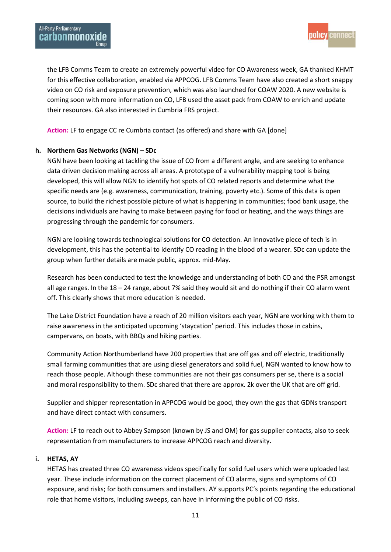

the LFB Comms Team to create an extremely powerful video for CO Awareness week, GA thanked KHMT for this effective collaboration, enabled via APPCOG. LFB Comms Team have also created a short snappy video on CO risk and exposure prevention, which was also launched for COAW 2020. A new website is coming soon with more information on CO, LFB used the asset pack from COAW to enrich and update their resources. GA also interested in Cumbria FRS project.

**Action:** LF to engage CC re Cumbria contact (as offered) and share with GA [done]

#### **h. Northern Gas Networks (NGN) – SDc**

NGN have been looking at tackling the issue of CO from a different angle, and are seeking to enhance data driven decision making across all areas. A prototype of a vulnerability mapping tool is being developed, this will allow NGN to identify hot spots of CO related reports and determine what the specific needs are (e.g. awareness, communication, training, poverty etc.). Some of this data is open source, to build the richest possible picture of what is happening in communities; food bank usage, the decisions individuals are having to make between paying for food or heating, and the ways things are progressing through the pandemic for consumers.

NGN are looking towards technological solutions for CO detection. An innovative piece of tech is in development, this has the potential to identify CO reading in the blood of a wearer. SDc can update the group when further details are made public, approx. mid-May.

Research has been conducted to test the knowledge and understanding of both CO and the PSR amongst all age ranges. In the 18 – 24 range, about 7% said they would sit and do nothing if their CO alarm went off. This clearly shows that more education is needed.

The Lake District Foundation have a reach of 20 million visitors each year, NGN are working with them to raise awareness in the anticipated upcoming 'staycation' period. This includes those in cabins, campervans, on boats, with BBQs and hiking parties.

Community Action Northumberland have 200 properties that are off gas and off electric, traditionally small farming communities that are using diesel generators and solid fuel, NGN wanted to know how to reach those people. Although these communities are not their gas consumers per se, there is a social and moral responsibility to them. SDc shared that there are approx. 2k over the UK that are off grid.

Supplier and shipper representation in APPCOG would be good, they own the gas that GDNs transport and have direct contact with consumers.

**Action:** LF to reach out to Abbey Sampson (known by JS and OM) for gas supplier contacts, also to seek representation from manufacturers to increase APPCOG reach and diversity.

#### **i. HETAS, AY**

HETAS has created three CO awareness videos specifically for solid fuel users which were uploaded last year. These include information on the correct placement of CO alarms, signs and symptoms of CO exposure, and risks; for both consumers and installers. AY supports PC's points regarding the educational role that home visitors, including sweeps, can have in informing the public of CO risks.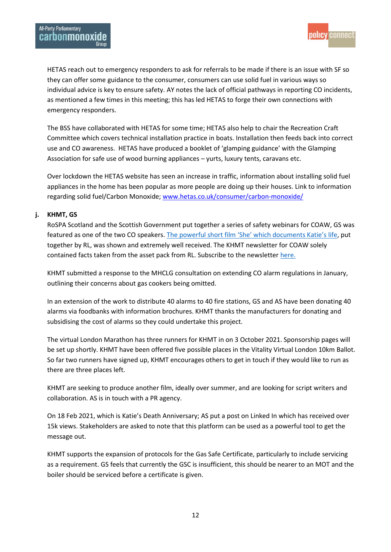HETAS reach out to emergency responders to ask for referrals to be made if there is an issue with SF so they can offer some guidance to the consumer, consumers can use solid fuel in various ways so individual advice is key to ensure safety. AY notes the lack of official pathways in reporting CO incidents, as mentioned a few times in this meeting; this has led HETAS to forge their own connections with emergency responders.

nolicy

The BSS have collaborated with HETAS for some time; HETAS also help to chair the Recreation Craft Committee which covers technical installation practice in boats. Installation then feeds back into correct use and CO awareness. HETAS have produced a booklet of 'glamping guidance' with the Glamping Association for safe use of wood burning appliances – yurts, luxury tents, caravans etc.

Over lockdown the HETAS website has seen an increase in traffic, information about installing solid fuel appliances in the home has been popular as more people are doing up their houses. Link to information regarding solid fuel/Carbon Monoxide[; www.hetas.co.uk/consumer/carbon-monoxide/](http://www.hetas.co.uk/consumer/carbon-monoxide/)

#### **j. KHMT, GS**

RoSPA Scotland and the Scottish Government put together a series of safety webinars for COAW, GS was featured as one of the two CO speakers. The powerful short [film 'She' which documents Katie's life](https://www.youtube.com/watch?v=7Q4ygmwmSAU), put together by RL, was shown and extremely well received. The KHMT newsletter for COAW solely contained facts taken from the asset pack from RL. Subscribe to the newslette[r here.](https://katiehainestrust.us8.list-manage.com/subscribe?u=165bf06ad05689a3fa30cab43&id=c63f203e27)

KHMT submitted a response to the MHCLG consultation on extending CO alarm regulations in January, outlining their concerns about gas cookers being omitted.

In an extension of the work to distribute 40 alarms to 40 fire stations, GS and AS have been donating 40 alarms via foodbanks with information brochures. KHMT thanks the manufacturers for donating and subsidising the cost of alarms so they could undertake this project.

The virtual London Marathon has three runners for KHMT in on 3 October 2021. Sponsorship pages will be set up shortly. KHMT have been offered five possible places in the Vitality Virtual London 10km Ballot. So far two runners have signed up, KHMT encourages others to get in touch if they would like to run as there are three places left.

KHMT are seeking to produce another film, ideally over summer, and are looking for script writers and collaboration. AS is in touch with a PR agency.

On 18 Feb 2021, which is Katie's Death Anniversary; AS put a post on Linked In which has received over 15k views. Stakeholders are asked to note that this platform can be used as a powerful tool to get the message out.

KHMT supports the expansion of protocols for the Gas Safe Certificate, particularly to include servicing as a requirement. GS feels that currently the GSC is insufficient, this should be nearer to an MOT and the boiler should be serviced before a certificate is given.